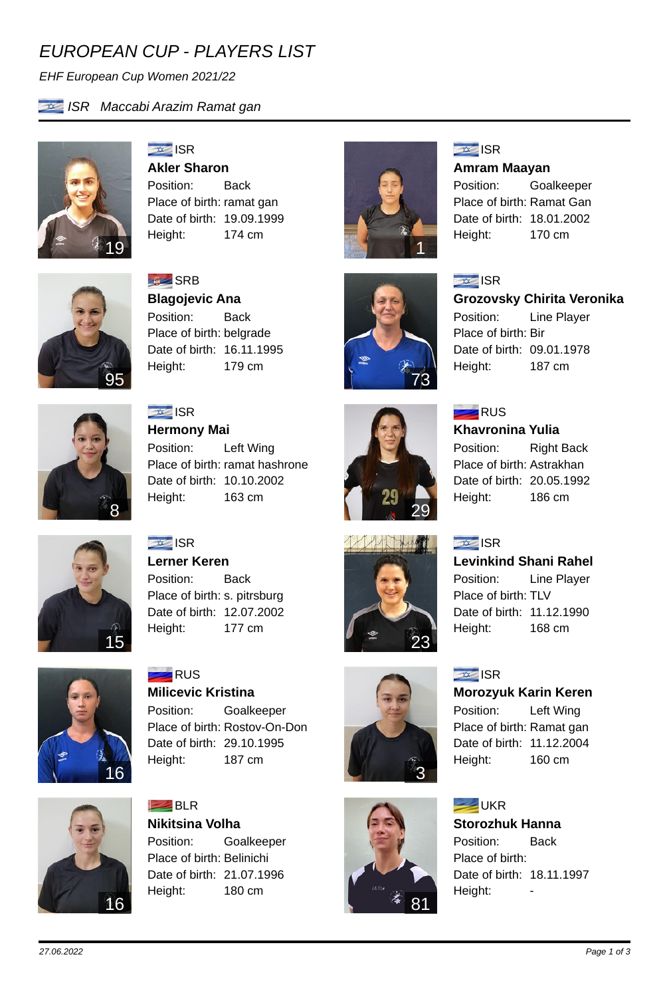## *EUROPEAN CUP - PLAYERS LIST*

*EHF European Cup Women 2021/22*



*ISR Maccabi Arazim Ramat gan*



**ISR Akler Sharon** Position: Back Place of birth: ramat gan Date of birth: 19.09.1999 Height: 174 cm



**SRB Blagojevic Ana** Position: Back Place of birth: belgrade Date of birth: 16.11.1995 Height: 179 cm



**ISR Hermony Mai** Position: Left Wing Place of birth: ramat hashrone Date of birth: 10.10.2002



### **ISR**

**Amram Maayan**

Position: Goalkeeper Place of birth: Ramat Gan Date of birth: 18.01.2002 Height: 170 cm



#### **ISR**

**Grozovsky Chirita Veronika**

Position: Line Player Place of birth: Bir Date of birth: 09.01.1978 Height: 187 cm



73

23

3

 $=$ RUS **Khavronina Yulia**

Position: Right Back Place of birth: Astrakhan Date of birth: 20.05.1992

Height: 186 cm

#### **ISR**

**Levinkind Shani Rahel** Position: Line Player Place of birth: TLV Date of birth: 11.12.1990 Height: 168 cm

## **ISR**

**Morozyuk Karin Keren**

Position: Left Wing Place of birth: Ramat gan Date of birth: 11.12.2004 Height: 160 cm

#### **EXAMPLE** UKR

### **Storozhuk Hanna**

Position: Back Place of birth: Date of birth: 18.11.1997 Height:



Height: 163 cm



**ISR Lerner Keren** Position: Back Place of birth: s. pitrsburg Date of birth: 12.07.2002 Height: 177 cm



**RUS Milicevic Kristina** Position: Goalkeeper Place of birth: Rostov-On-Don Date of birth: 29.10.1995 Height: 187 cm



**BLR Nikitsina Volha** Position: Goalkeeper Place of birth: Belinichi Date of birth: 21.07.1996 Height: 180 cm

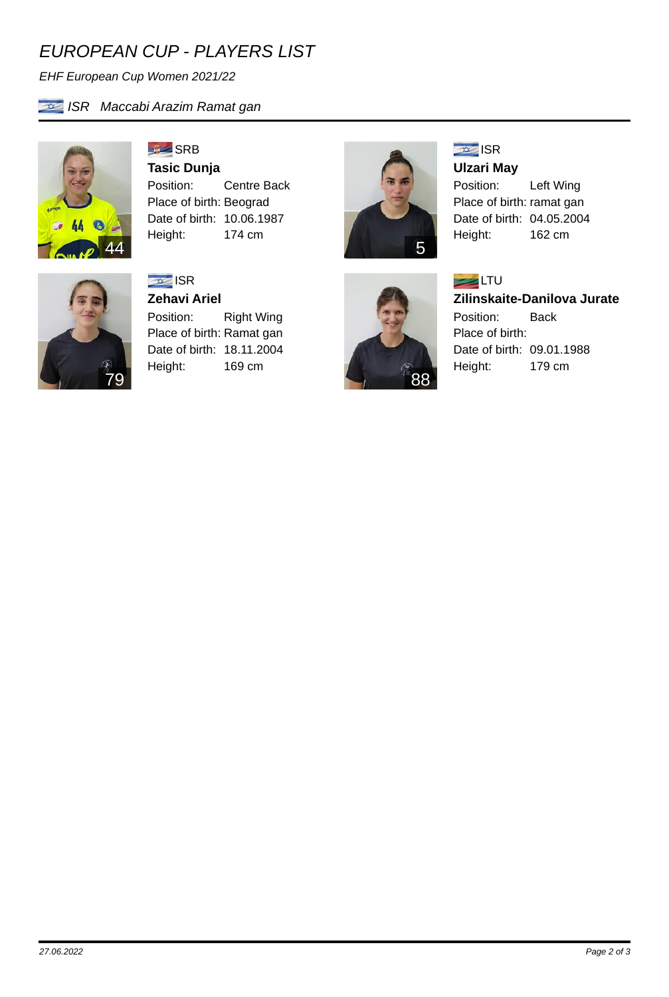## *EUROPEAN CUP - PLAYERS LIST*

*EHF European Cup Women 2021/22*



*ISR Maccabi Arazim Ramat gan*

**SRB Tasic Dunja** Position: Centre Back Place of birth: Beograd Date of birth: 10.06.1987

Height: 174 cm



#### **ISR Zehavi Ariel**

Position: Right Wing Place of birth: Ramat gan Date of birth: 18.11.2004 Height: 169 cm



88

### **ISR**

**Ulzari May** Position: Left Wing Place of birth: ramat gan Date of birth: 04.05.2004 Height: 162 cm



# **Zilinskaite-Danilova Jurate**

Position: Back Place of birth: Date of birth: 09.01.1988 Height: 179 cm